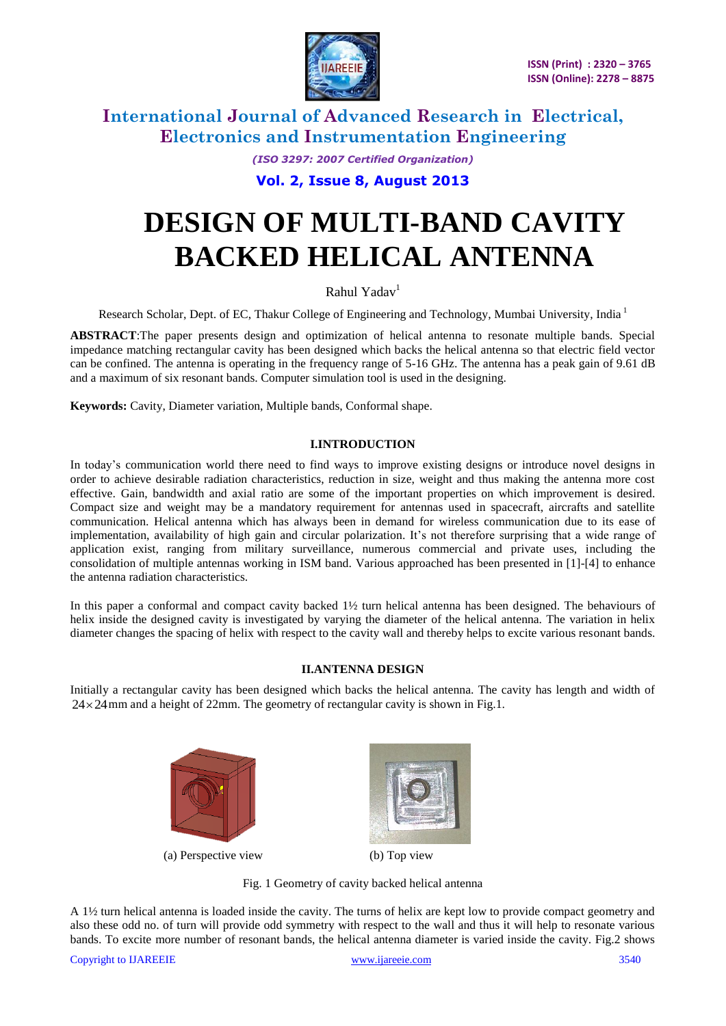

> *(ISO 3297: 2007 Certified Organization)* **Vol. 2, Issue 8, August 2013**

# **DESIGN OF MULTI-BAND CAVITY BACKED HELICAL ANTENNA**

Rahul Yadav<sup>1</sup>

Research Scholar, Dept. of EC, Thakur College of Engineering and Technology, Mumbai University, India<sup>1</sup>

**ABSTRACT**:The paper presents design and optimization of helical antenna to resonate multiple bands. Special impedance matching rectangular cavity has been designed which backs the helical antenna so that electric field vector can be confined. The antenna is operating in the frequency range of 5-16 GHz. The antenna has a peak gain of 9.61 dB and a maximum of six resonant bands. Computer simulation tool is used in the designing.

**Keywords:** Cavity, Diameter variation, Multiple bands, Conformal shape.

### **I.INTRODUCTION**

In today's communication world there need to find ways to improve existing designs or introduce novel designs in order to achieve desirable radiation characteristics, reduction in size, weight and thus making the antenna more cost effective. Gain, bandwidth and axial ratio are some of the important properties on which improvement is desired. Compact size and weight may be a mandatory requirement for antennas used in spacecraft, aircrafts and satellite communication. Helical antenna which has always been in demand for wireless communication due to its ease of implementation, availability of high gain and circular polarization. It's not therefore surprising that a wide range of application exist, ranging from military surveillance, numerous commercial and private uses, including the consolidation of multiple antennas working in ISM band. Various approached has been presented in [1]-[4] to enhance the antenna radiation characteristics.

In this paper a conformal and compact cavity backed 1½ turn helical antenna has been designed. The behaviours of helix inside the designed cavity is investigated by varying the diameter of the helical antenna. The variation in helix diameter changes the spacing of helix with respect to the cavity wall and thereby helps to excite various resonant bands.

### **II.ANTENNA DESIGN**

Initially a rectangular cavity has been designed which backs the helical antenna. The cavity has length and width of  $24 \times 24$  mm and a height of 22mm. The geometry of rectangular cavity is shown in Fig.1.



(a) Perspective view (b) Top view



Fig. 1 Geometry of cavity backed helical antenna

A 1½ turn helical antenna is loaded inside the cavity. The turns of helix are kept low to provide compact geometry and also these odd no. of turn will provide odd symmetry with respect to the wall and thus it will help to resonate various bands. To excite more number of resonant bands, the helical antenna diameter is varied inside the cavity. Fig.2 shows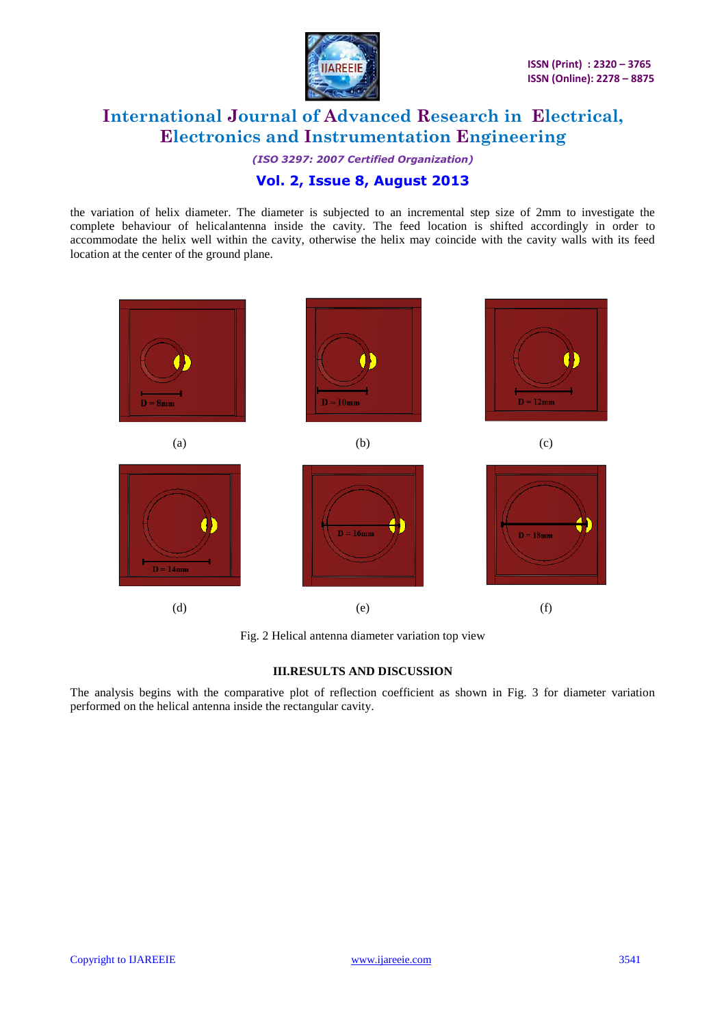

*(ISO 3297: 2007 Certified Organization)* **Vol. 2, Issue 8, August 2013**

the variation of helix diameter. The diameter is subjected to an incremental step size of 2mm to investigate the complete behaviour of helicalantenna inside the cavity. The feed location is shifted accordingly in order to accommodate the helix well within the cavity, otherwise the helix may coincide with the cavity walls with its feed location at the center of the ground plane.



Fig. 2 Helical antenna diameter variation top view

### **III.RESULTS AND DISCUSSION**

The analysis begins with the comparative plot of reflection coefficient as shown in Fig. 3 for diameter variation performed on the helical antenna inside the rectangular cavity.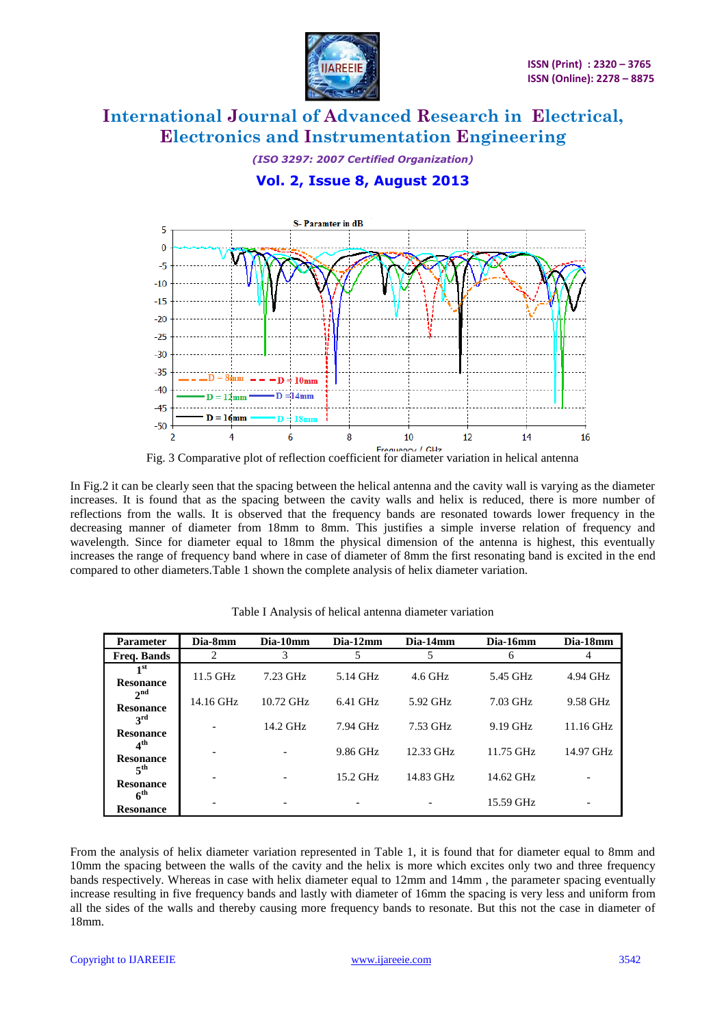

*(ISO 3297: 2007 Certified Organization)* **Vol. 2, Issue 8, August 2013**



In Fig.2 it can be clearly seen that the spacing between the helical antenna and the cavity wall is varying as the diameter increases. It is found that as the spacing between the cavity walls and helix is reduced, there is more number of reflections from the walls. It is observed that the frequency bands are resonated towards lower frequency in the decreasing manner of diameter from 18mm to 8mm. This justifies a simple inverse relation of frequency and wavelength. Since for diameter equal to 18mm the physical dimension of the antenna is highest, this eventually increases the range of frequency band where in case of diameter of 8mm the first resonating band is excited in the end compared to other diameters.Table 1 shown the complete analysis of helix diameter variation.

| <b>Parameter</b>                    | Dia-8mm    | Dia-10mm    | Dia-12mm   | Dia-14mm  | Dia-16mm  | Dia-18mm    |
|-------------------------------------|------------|-------------|------------|-----------|-----------|-------------|
| <b>Freq. Bands</b>                  |            | 3           | 5          |           | 6         |             |
| 1 <sup>st</sup><br><b>Resonance</b> | $11.5$ GHz | 7.23 GHz    | 5.14 GHz   | $4.6$ GHz | 5.45 GHz  | 4.94 GHz    |
| $2^{\text{nd}}$<br><b>Resonance</b> | 14.16 GHz  | $10.72$ GHz | $6.41$ GHz | 5.92 GHz  | 7.03 GHz  | 9.58 GHz    |
| $3^{\rm rd}$<br><b>Resonance</b>    |            | $14.2$ GHz  | 7.94 GHz   | 7.53 GHz  | 9.19 GHz  | $11.16$ GHz |
| 4 <sup>th</sup><br><b>Resonance</b> |            |             | 9.86 GHz   | 12.33 GHz | 11.75 GHz | 14.97 GHz   |
| 5 <sup>th</sup><br><b>Resonance</b> |            |             | $15.2$ GHz | 14.83 GHz | 14.62 GHz |             |
| 6 <sup>th</sup><br><b>Resonance</b> |            |             |            |           | 15.59 GHz |             |

Table I Analysis of helical antenna diameter variation

From the analysis of helix diameter variation represented in Table 1, it is found that for diameter equal to 8mm and 10mm the spacing between the walls of the cavity and the helix is more which excites only two and three frequency bands respectively. Whereas in case with helix diameter equal to 12mm and 14mm , the parameter spacing eventually increase resulting in five frequency bands and lastly with diameter of 16mm the spacing is very less and uniform from all the sides of the walls and thereby causing more frequency bands to resonate. But this not the case in diameter of 18mm.